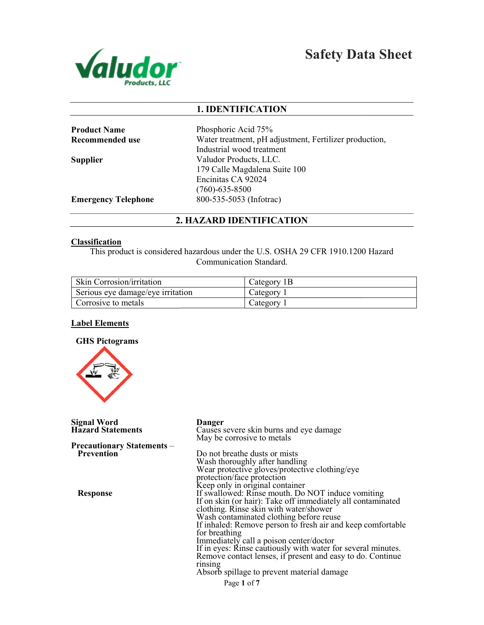

# Safety Data Sheet

## 1. IDENTIFICATION

| <b>Product Name</b>        | Phosphoric Acid 75%                                                              |
|----------------------------|----------------------------------------------------------------------------------|
| Recommended use            | Water treatment, pH adjustment, Fertilizer production,                           |
|                            | Industrial wood treatment                                                        |
| <b>Supplier</b>            | Valudor Products, LLC.                                                           |
|                            | 179 Calle Magdalena Suite 100                                                    |
|                            | Encinitas CA 92024                                                               |
|                            | $(760)$ -635-8500                                                                |
| <b>Emergency Telephone</b> | 800-535-5053 (Infotrac)                                                          |
|                            | 2. HAZARD IDENTIFICATION                                                         |
| <b>Classification</b>      |                                                                                  |
|                            | This product is considered hazardous under the U.S. OSHA 29 CFR 1910.1200 Hazard |

## 2. HAZARD IDENTIFICATION

## **Classification**

This product is considered hazardous under the U.S. OSHA 29 CFR 1910.1200 Communication Standard.

| <b>Skin Corrosion/irritation</b>  | Category <sub>1</sub> B |
|-----------------------------------|-------------------------|
| Serious eye damage/eye irritation | Category                |
| Corrosive to metals               | Category                |

## Label Elements



| <b>Signal Word</b><br><b>Hazard Statements</b>  | Danger<br>Causes severe skin burns and eye damage<br>May be corrosive to metals                                                                                                                                                                                                                                                                                                                                                                                                                                         |
|-------------------------------------------------|-------------------------------------------------------------------------------------------------------------------------------------------------------------------------------------------------------------------------------------------------------------------------------------------------------------------------------------------------------------------------------------------------------------------------------------------------------------------------------------------------------------------------|
| <b>Precautionary Statements</b> –<br>Prevention | Do not breathe dusts or mists<br>Wash thoroughly after handling<br>Wear protective gloves/protective clothing/eye<br>protection/face protection<br>Keep only in original container                                                                                                                                                                                                                                                                                                                                      |
| <b>Response</b>                                 | If swallowed: Rinse mouth. Do NOT induce vomiting<br>If on skin (or hair): Take off immediately all contaminated<br>clothing. Rinse skin with water/shower<br>Wash contaminated clothing before reuse<br>If inhaled: Remove person to fresh air and keep comfortable<br>for breathing<br>Immediately call a poison center/doctor<br>If in eyes: Rinse cautiously with water for several minutes.<br>Remove contact lenses, if present and easy to do. Continue<br>rinsing<br>Absorb spillage to prevent material damage |
|                                                 | Page 1 of 7                                                                                                                                                                                                                                                                                                                                                                                                                                                                                                             |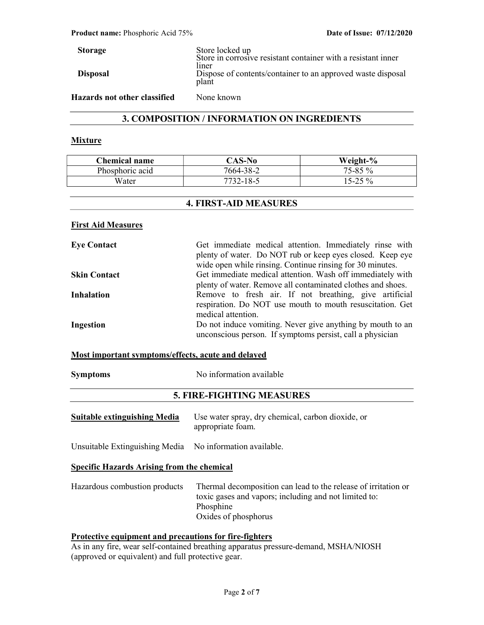Storage **Disposal** Store locked up Store in corrosive resistant container with a resistant inner liner Dispose of contents/container to an approved waste disposal plant Hazards not other classified None known

## 3. COMPOSITION / INFORMATION ON INGREDIENTS

#### **Mixture**

| <b>Chemical name</b> | $\mathbb{C}\mathbf{AS}\text{-}\mathbf{No}$ | Weight-%     |
|----------------------|--------------------------------------------|--------------|
| Phosphoric acid      | 7664-38-2                                  | $75 - 85 \%$ |
| Water                | 7732-18-5                                  | $15-25\%$    |

## 4. FIRST-AID MEASURES

## First Aid Measures

| <b>Eye Contact</b>  | Get immediate medical attention. Immediately rinse with     |
|---------------------|-------------------------------------------------------------|
|                     | plenty of water. Do NOT rub or keep eyes closed. Keep eye   |
|                     | wide open while rinsing. Continue rinsing for 30 minutes.   |
| <b>Skin Contact</b> | Get immediate medical attention. Wash off immediately with  |
|                     | plenty of water. Remove all contaminated clothes and shoes. |
| <b>Inhalation</b>   | Remove to fresh air. If not breathing, give artificial      |
|                     | respiration. Do NOT use mouth to mouth resuscitation. Get   |
|                     | medical attention.                                          |
| Ingestion           | Do not induce vomiting. Never give anything by mouth to an  |
|                     | unconscious person. If symptoms persist, call a physician   |

### Most important symptoms/effects, acute and delayed

Symptoms No information available

## 5. FIRE-FIGHTING MEASURES

| <b>Suitable extinguishing Media</b>                      | Use water spray, dry chemical, carbon dioxide, or<br>appropriate foam.                                                               |
|----------------------------------------------------------|--------------------------------------------------------------------------------------------------------------------------------------|
| Unsuitable Extinguishing Media No information available. |                                                                                                                                      |
| <b>Specific Hazards Arising from the chemical</b>        |                                                                                                                                      |
| Hazardous combustion products                            | Thermal decomposition can lead to the release of irritation or<br>toxic gases and vapors; including and not limited to:<br>Phosphine |

Oxides of phosphorus

## Protective equipment and precautions for fire-fighters

As in any fire, wear self-contained breathing apparatus pressure-demand, MSHA/NIOSH (approved or equivalent) and full protective gear.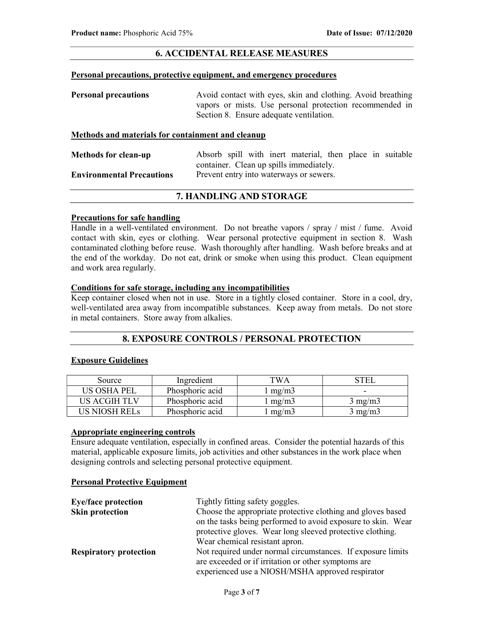## 6. ACCIDENTAL RELEASE MEASURES

#### Personal precautions, protective equipment, and emergency procedures

| <b>Personal precautions</b> | Avoid contact with eyes, skin and clothing. Avoid breathing |
|-----------------------------|-------------------------------------------------------------|
|                             | vapors or mists. Use personal protection recommended in     |
|                             | Section 8. Ensure adequate ventilation.                     |

## Methods and materials for containment and cleanup

| <b>Methods for clean-up</b>      |  |  | Absorb spill with inert material, then place in suitable |  |  |
|----------------------------------|--|--|----------------------------------------------------------|--|--|
|                                  |  |  | container. Clean up spills immediately.                  |  |  |
| <b>Environmental Precautions</b> |  |  | Prevent entry into waterways or sewers.                  |  |  |

## 7. HANDLING AND STORAGE

### Precautions for safe handling

Handle in a well-ventilated environment. Do not breathe vapors / spray / mist / fume. Avoid contact with skin, eyes or clothing. Wear personal protective equipment in section 8. Wash contaminated clothing before reuse. Wash thoroughly after handling. Wash before breaks and at the end of the workday. Do not eat, drink or smoke when using this product. Clean equipment and work area regularly.

### Conditions for safe storage, including any incompatibilities

Keep container closed when not in use. Store in a tightly closed container. Store in a cool, dry, well-ventilated area away from incompatible substances. Keep away from metals. Do not store in metal containers. Store away from alkalies.

## 8. EXPOSURE CONTROLS / PERSONAL PROTECTION

### Exposure Guidelines

| Source        | Ingredient      | TWA.  |                  |
|---------------|-----------------|-------|------------------|
| US OSHA PEL   | Phosphoric acid | mg/m3 |                  |
| US ACGIH TLV  | Phosphoric acid | mg/m3 | $3 \text{ mg/m}$ |
| US NIOSH RELs | Phosphoric acid | mg/m3 | 3 mg/m3          |

## Appropriate engineering controls

Ensure adequate ventilation, especially in confined areas. Consider the potential hazards of this material, applicable exposure limits, job activities and other substances in the work place when designing controls and selecting personal protective equipment.

## Personal Protective Equipment

| <b>Eye/face protection</b>    | Tightly fitting safety goggles.                                                                                             |
|-------------------------------|-----------------------------------------------------------------------------------------------------------------------------|
| Skin protection               | Choose the appropriate protective clothing and gloves based<br>on the tasks being performed to avoid exposure to skin. Wear |
|                               | protective gloves. Wear long sleeved protective clothing.                                                                   |
|                               | Wear chemical resistant apron.                                                                                              |
| <b>Respiratory protection</b> | Not required under normal circumstances. If exposure limits                                                                 |
|                               | are exceeded or if irritation or other symptoms are                                                                         |
|                               | experienced use a NIOSH/MSHA approved respirator                                                                            |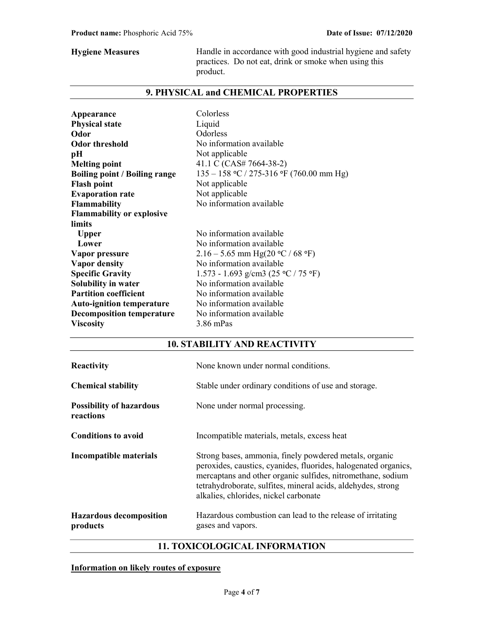Hygiene Measures **Handle** in accordance with good industrial hygiene and safety practices. Do not eat, drink or smoke when using this product.

## 9. PHYSICAL and CHEMICAL PROPERTIES

| Liquid<br><b>Physical state</b>                                                    |
|------------------------------------------------------------------------------------|
|                                                                                    |
| Odorless<br>Odor                                                                   |
| No information available<br><b>Odor threshold</b>                                  |
| Not applicable<br>pН                                                               |
| 41.1 C (CAS# 7664-38-2)<br><b>Melting point</b>                                    |
| $135 - 158$ °C / 275-316 °F (760.00 mm Hg)<br><b>Boiling point / Boiling range</b> |
| Not applicable<br><b>Flash point</b>                                               |
| Not applicable<br><b>Evaporation rate</b>                                          |
| No information available<br><b>Flammability</b>                                    |
| <b>Flammability or explosive</b>                                                   |
| limits                                                                             |
| No information available<br><b>Upper</b>                                           |
| Lower<br>No information available                                                  |
| 2.16 – 5.65 mm Hg(20 °C / 68 °F)<br>Vapor pressure                                 |
| No information available<br><b>Vapor density</b>                                   |
| <b>Specific Gravity</b><br>1.573 - 1.693 g/cm3 (25 °C / 75 °F)                     |
| No information available<br>Solubility in water                                    |
| <b>Partition coefficient</b><br>No information available                           |
| No information available<br><b>Auto-ignition temperature</b>                       |
| No information available<br><b>Decomposition temperature</b>                       |
| 3.86 mPas<br><b>Viscosity</b>                                                      |

## 10. STABILITY AND REACTIVITY

| Reactivity                                   | None known under normal conditions.                                                                                                                                                                                                                                                               |
|----------------------------------------------|---------------------------------------------------------------------------------------------------------------------------------------------------------------------------------------------------------------------------------------------------------------------------------------------------|
| <b>Chemical stability</b>                    | Stable under ordinary conditions of use and storage.                                                                                                                                                                                                                                              |
| <b>Possibility of hazardous</b><br>reactions | None under normal processing.                                                                                                                                                                                                                                                                     |
| <b>Conditions to avoid</b>                   | Incompatible materials, metals, excess heat                                                                                                                                                                                                                                                       |
| Incompatible materials                       | Strong bases, ammonia, finely powdered metals, organic<br>peroxides, caustics, cyanides, fluorides, halogenated organics,<br>mercaptans and other organic sulfides, nitromethane, sodium<br>tetrahydroborate, sulfites, mineral acids, aldehydes, strong<br>alkalies, chlorides, nickel carbonate |
| <b>Hazardous decomposition</b><br>products   | Hazardous combustion can lead to the release of irritating<br>gases and vapors.                                                                                                                                                                                                                   |

## 11. TOXICOLOGICAL INFORMATION

Information on likely routes of exposure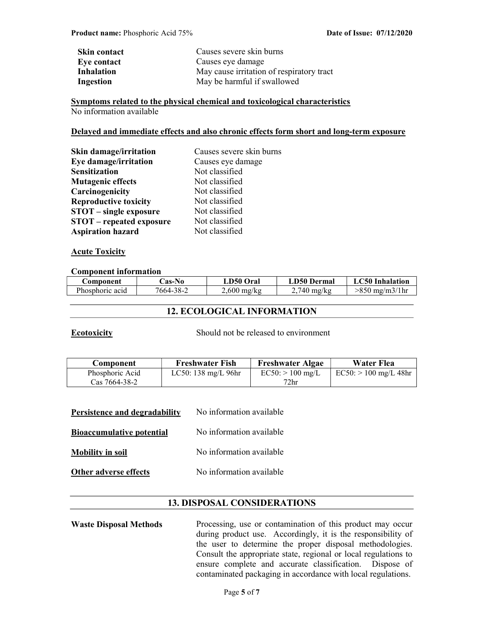| Skin contact      | Causes severe skin burns                  |  |
|-------------------|-------------------------------------------|--|
| Eye contact       | Causes eye damage                         |  |
| <b>Inhalation</b> | May cause irritation of respiratory tract |  |
| Ingestion         | May be harmful if swallowed               |  |

Symptoms related to the physical chemical and toxicological characteristics No information available

### Delayed and immediate effects and also chronic effects form short and long-term exposure

| Causes severe skin burns<br>Skin damage/irritation |                   |  |
|----------------------------------------------------|-------------------|--|
| Eye damage/irritation                              | Causes eye damage |  |
| <b>Sensitization</b>                               | Not classified    |  |
| <b>Mutagenic effects</b>                           | Not classified    |  |
| Carcinogenicity                                    | Not classified    |  |
| <b>Reproductive toxicity</b>                       | Not classified    |  |
| <b>STOT</b> – single exposure                      | Not classified    |  |
| <b>STOT</b> – repeated exposure                    | Not classified    |  |
| <b>Aspiration hazard</b>                           | Not classified    |  |

## **Acute Toxicity**

### Component information

| Component       | <b>Cas-No</b> | LD50 Oral     | LD50 Dermal           | LC50 Inhalation |
|-----------------|---------------|---------------|-----------------------|-----------------|
| Phosphoric acid | 7664-38-2     | $2,600$ mg/kg | $2,740 \text{ mg/kg}$ | >850 mg/m3/1hr  |

## 12. ECOLOGICAL INFORMATION

Ecotoxicity Should not be released to environment

| Component       | <b>Freshwater Fish</b>        | <b>Freshwater Algae</b> | Water Flea              |
|-----------------|-------------------------------|-------------------------|-------------------------|
| Phosphoric Acid | LC50: $138 \text{ mg/L}$ 96hr | $EC50:$ > 100 mg/L      | $EC50:$ > 100 mg/L 48hr |
| Cas 7664-38-2   |                               | $72\mathrm{hr}$         |                         |

| Persistence and degradability    | No information available |
|----------------------------------|--------------------------|
| <b>Bioaccumulative potential</b> | No information available |
| <b>Mobility in soil</b>          | No information available |
| Other adverse effects            | No information available |

## 13. DISPOSAL CONSIDERATIONS

Waste Disposal Methods Processing, use or contamination of this product may occur during product use. Accordingly, it is the responsibility of the user to determine the proper disposal methodologies. Consult the appropriate state, regional or local regulations to ensure complete and accurate classification. Dispose of contaminated packaging in accordance with local regulations.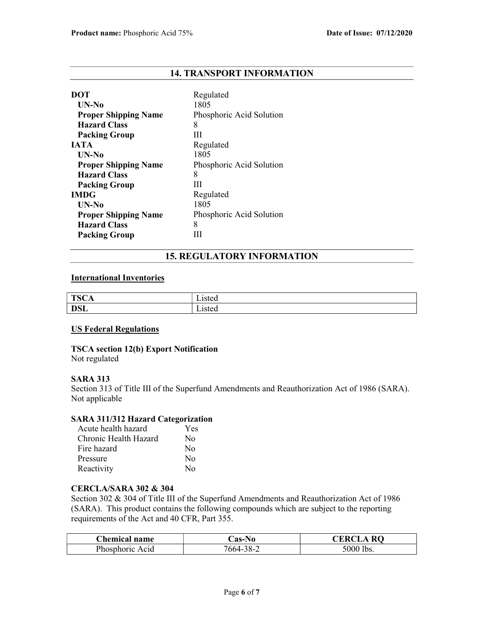## 14. TRANSPORT INFORMATION

| DOT                         | Regulated                |
|-----------------------------|--------------------------|
| UN-No                       | 1805                     |
| <b>Proper Shipping Name</b> | Phosphoric Acid Solution |
| <b>Hazard Class</b>         | 8                        |
| <b>Packing Group</b>        | Ш                        |
| <b>JATA</b>                 | Regulated                |
| UN-No                       | 1805                     |
| <b>Proper Shipping Name</b> | Phosphoric Acid Solution |
| <b>Hazard Class</b>         | 8                        |
| <b>Packing Group</b>        | Ш                        |
| <b>IMDG</b>                 | Regulated                |
| UN-No                       | 1805                     |
| <b>Proper Shipping Name</b> | Phosphoric Acid Solution |
| <b>Hazard Class</b>         | 8                        |
| <b>Packing Group</b>        |                          |

## 15. REGULATORY INFORMATION

## International Inventories

| $T0$ $\cap$<br><br>ືີ<br>ᆂ | $-$<br>15ted<br>Lisicu |
|----------------------------|------------------------|
| DCI<br><b>DOL</b>          | Listed                 |

## US Federal Regulations

## TSCA section 12(b) Export Notification

Not regulated

## SARA 313

Section 313 of Title III of the Superfund Amendments and Reauthorization Act of 1986 (SARA). Not applicable

## SARA 311/312 Hazard Categorization

| Acute health hazard   | Yes              |
|-----------------------|------------------|
| Chronic Health Hazard | No               |
| Fire hazard           | $\rm No$         |
| Pressure              | No               |
| Reactivity            | $\rm N_{\Omega}$ |

## CERCLA/SARA 302 & 304

Section 302 & 304 of Title III of the Superfund Amendments and Reauthorization Act of 1986 (SARA). This product contains the following compounds which are subject to the reporting requirements of the Act and 40 CFR, Part 355.

| <b>Chemical name</b> | <b>Cas-No</b> | $\cdot$ RC<br>`KR( |
|----------------------|---------------|--------------------|
| Phosphoric Acid      | 7664-38-2     | 5000 lbs.          |